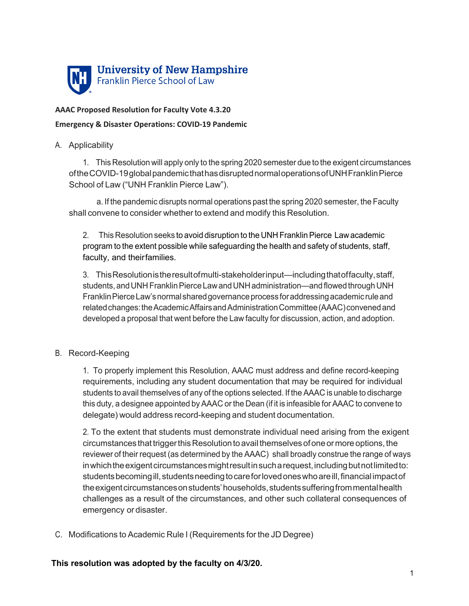

# **AAAC Proposed Resolution for Faculty Vote 4.3.20**

#### **Emergency & Disaster Operations: COVID-19 Pandemic**

## A. Applicability

1. This Resolution will apply only to the spring 2020 semester due to the exigent circumstances oftheCOVID-19globalpandemicthathasdisruptednormaloperationsofUNHFranklinPierce School of Law ("UNH Franklin Pierce Law").

a. If the pandemic disrupts normal operations past the spring 2020 semester, the Faculty shall convene to consider whether to extend and modify this Resolution.

2. This Resolution seeks to avoid disruption to the UNH Franklin Pierce Law academic program to the extent possible while safeguarding the health and safety of students, staff, faculty, and theirfamilies.

3. ThisResolutionistheresultofmulti-stakeholderinput—includingthatoffaculty,staff, students, and UNH Franklin Pierce Law and UNH administration—and flowed through UNH FranklinPierceLaw'snormalsharedgovernanceprocess foraddressingacademicruleand related changes: the Academic Affairs and Administration Committee (AAAC) convened and developed a proposal that went before the Law faculty for discussion, action, and adoption.

## B. Record-Keeping

1. To properly implement this Resolution, AAAC must address and define record-keeping requirements, including any student documentation that may be required for individual students to avail themselves of any of the options selected. If the AAAC is unable to discharge this duty, a designee appointed by AAAC or the Dean (if it is infeasible for AAAC to convene to delegate) would address record-keeping and student documentation.

2. To the extent that students must demonstrate individual need arising from the exigent circumstances that trigger this Resolution to avail themselves of one or more options, the reviewer of their request (as determined by the AAAC) shall broadly construe the range of ways in which the exigent circumstances might result in such a request, including but not limited to: students becoming ill, students needing to care for loved ones who are ill, financial impact of theexigentcircumstancesonstudents'households,studentssufferingfrommentalhealth challenges as a result of the circumstances, and other such collateral consequences of emergency or disaster.

C. Modifications to Academic Rule I (Requirements for the JD Degree)

**This resolution was adopted by the faculty on 4/3/20.**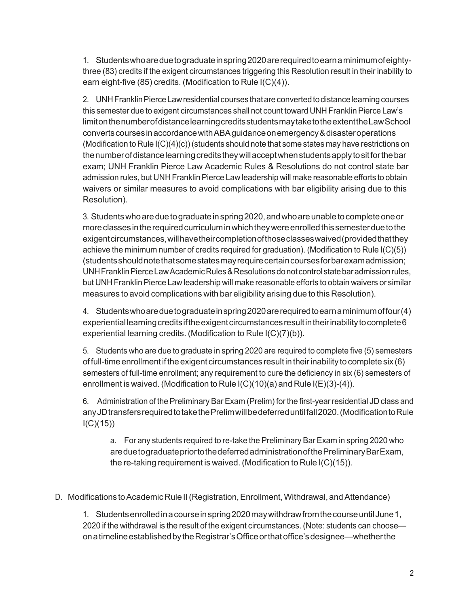1. Studentswhoareduetograduateinspring2020arerequiredtoearnaminimumofeightythree (83) credits if the exigent circumstances triggering this Resolution result in their inability to earn eight-five (85) credits. (Modification to Rule I(C)(4)).

2. UNHFranklinPierceLawresidential courses thatare convertedtodistancelearningcourses this semester due to exigent circumstances shall not count toward UNH Franklin Pierce Law's limitonthenumberofdistancelearningcreditsstudentsmaytaketotheextenttheLawSchool convertscoursesinaccordancewithABAguidanceonemergency&disasteroperations (Modification to Rule  $I(C)(4)(c)$ ) (students should note that some states may have restrictions on the number of distance learning credits they will accept when students apply to sit for the bar exam; UNH Franklin Pierce Law Academic Rules & Resolutions do not control state bar admission rules, but UNH Franklin Pierce Law leadership will make reasonable efforts to obtain waivers or similar measures to avoid complications with bar eligibility arising due to this Resolution).

3. Students who are due to graduate in spring 2020, and who are unable to complete one or more classes in the required curriculum in which they were enrolled this semester due to the exigentcircumstances,willhavetheircompletionofthoseclasseswaived(providedthatthey achieve the minimum number of credits required for graduation). (Modification to Rule I(C)(5)) (studentsshouldnotethatsomestatesmayrequirecertaincoursesforbarexamadmission; UNH Franklin Pierce Law Academic Rules & Resolutions do not control state bar admission rules, but UNH FranklinPierce Law leadership will make reasonable efforts to obtain waivers or similar measures to avoid complications with bar eligibility arising due to this Resolution).

4. Studentswhoareduetograduateinspring2020arerequiredtoearnaminimumoffour(4)  $experimental learning credits$  if the exigent circumstances result in their inability to complete  $6$ experiential learning credits. (Modification to Rule I(C)(7)(b)).

5. Students who are due to graduate in spring 2020 are required to complete five (5) semesters of full-time enrollment if the exigent circumstances result in their inability to complete six  $(6)$ semesters of full-time enrollment; any requirement to cure the deficiency in six (6) semesters of enrollment is waived. (Modification to Rule I(C)(10)(a) and Rule I(E)(3)-(4)).

6. Administration of the Preliminary BarExam (Prelim) forthe first-yearresidential JD class and any JD transfers required to take the Prelim will be deferred until fall 2020. (Modification to Rule  $I(C)(15)$ 

a. For any students required to re-take the Preliminary Bar Exam in spring 2020 who areduetograduatepriortothedeferredadministrationofthePreliminaryBarExam, the re-taking requirement is waived. (Modification to Rule I(C)(15)).

D. Modifications to Academic Rule II (Registration, Enrollment, Withdrawal, and Attendance)

1. Studentsenrolledinacourseinspring2020maywithdrawfromthecourseuntilJune1, 2020 if the withdrawal is the result of the exigent circumstances. (Note: students can choose onatimelineestablishedbytheRegistrar'sOfficeorthatoffice'sdesignee—whetherthe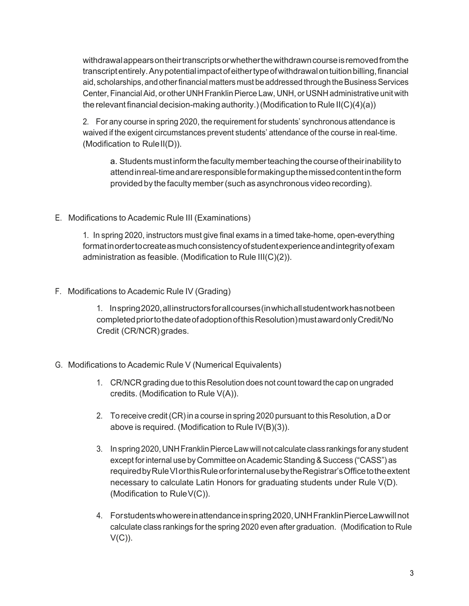withdrawalappearsontheirtranscriptsorwhetherthewithdrawncourseisremovedfromthe transcriptentirely.Anypotential impactofeithertypeofwithdrawalontuitionbilling,financial aid, scholarships, and other financial matters must be addressed through the Business Services Center, Financial Aid, or other UNH Franklin Pierce Law, UNH, or USNH administrative unit with the relevant financial decision-making authority.) (Modification to Rule II(C)(4)(a))

2. For any course in spring 2020, the requirement for students' synchronous attendance is waived if the exigent circumstances prevent students' attendance of the course in real-time. (Modification to Rule II(D)).

a. Students must inform the faculty member teaching the course of their inability to attendinreal-timeandareresponsibleformakingupthemissedcontentintheform provided by the faculty member(such as asynchronous video recording).

## E. Modifications to Academic Rule III (Examinations)

1. In spring 2020, instructors must give final exams in a timed take-home, open-everything formatin order to create as much consistency of student experience and integrity of exam administration as feasible. (Modification to Rule III(C)(2)).

## F. Modifications to Academic Rule IV (Grading)

1. Inspring2020,allinstructorsforallcourses(inwhichallstudentworkhasnotbeen completed prior to the date of adoption of this Resolution) must award only Credit/No Credit (CR/NCR) grades.

#### G. Modifications to Academic Rule V (Numerical Equivalents)

- 1. CR/NCR grading due to this Resolution does not count toward the cap on ungraded credits. (Modification to Rule V(A)).
- 2. To receive credit(CR)in a course in spring 2020 pursuant to this Resolution, a D or above is required. (Modification to Rule IV(B)(3)).
- 3. Inspring 2020,UNHFranklinPierce Lawwill not calculate class rankings forany student except for internal use by Committee on Academic Standing & Success ("CASS") as required by Rule VI or this Rule or for internal use by the Registrar's Office to the extent necessary to calculate Latin Honors for graduating students under Rule V(D). (Modification to RuleV(C)).
- 4. Forstudentswhowereinattendanceinspring2020,UNHFranklinPierceLawwillnot calculate class rankings for the spring 2020 even after graduation. (Modification to Rule  $V(C)$ ).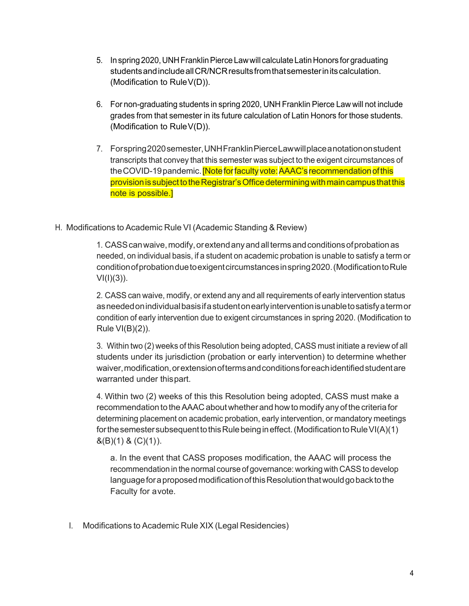- 5. In spring 2020, UNH Franklin Pierce Law will calculate Latin Honors for graduating studentsandincludeallCR/NCRresultsfromthatsemesterinitscalculation. (Modification to RuleV(D)).
- 6. For non-graduating students in spring 2020, UNH Franklin Pierce Law will not include grades from that semester in its future calculation of Latin Honors for those students. (Modification to RuleV(D)).
- 7. Forspring2020semester,UNHFranklinPierceLawwillplaceanotationonstudent transcripts that convey that this semester was subject to the exigent circumstances of the COVID-19 pandemic. [Note for faculty vote: AAAC's recommendation of this provision is subject to the Registrar's Office determining with main campus that this note is possible.]

#### H. Modifications to Academic Rule VI (Academic Standing & Review)

1. CASScanwaive,modify,orextendanyandalltermsandconditionsofprobationas needed, on individual basis, if a student on academic probation is unable to satisfy a term or conditionofprobationduetoexigentcircumstancesinspring2020.(ModificationtoRule  $VI(I)(3)$ ).

2. CASS can waive, modify, or extend any and all requirements of early intervention status asneededonindividualbasisifastudentonearlyinterventionisunabletosatisfyatermor condition of early intervention due to exigent circumstances in spring 2020. (Modification to Rule VI(B)(2)).

3. Within two (2) weeks of this Resolution being adopted, CASS must initiate a review of all students under its jurisdiction (probation or early intervention) to determine whether waiver,modification,orextensionoftermsandconditionsforeachidentifiedstudentare warranted under thispart.

4. Within two (2) weeks of this this Resolution being adopted, CASS must make a recommendation to theAAAC about whetherand howto modify any ofthe criteriafor determining placement on academic probation, early intervention, or mandatory meetings for the semester subsequent to this Rule being in effect. (Modification to Rule VI(A)(1)  $\&(B)(1) \&(C)(1)$ ).

a. In the event that CASS proposes modification, the AAAC will process the recommendation in the normal course of governance: working with CASS to develop language for a proposed modification of this Resolution that would go back to the Faculty for avote.

I. Modifications to Academic Rule XIX (Legal Residencies)